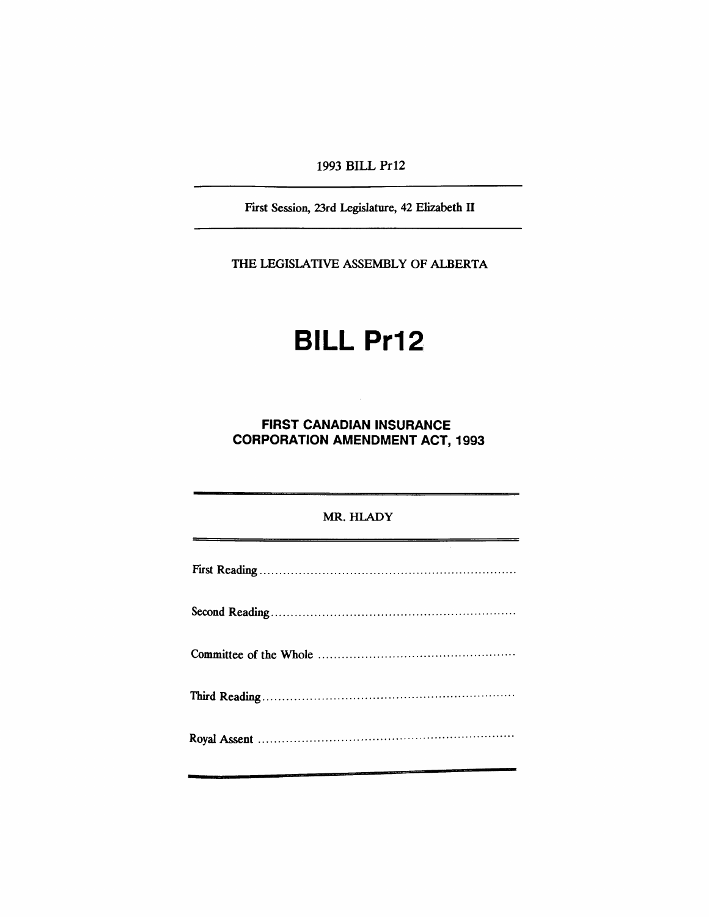1993 BILL Pr12

First Session, 23rd Legislature, 42 Elizabeth II

THE LEGISlATIVE ASSEMBLY OF ALBERTA

## **BILL** Pr12,

**FIRST CANADIAN INSURANCE CORPORATION AMENDMENT ACT, 1993**

## MR. HLADY First Reading . Second Reading ·. Committee of the Whole . Third Reading . Royal Assent .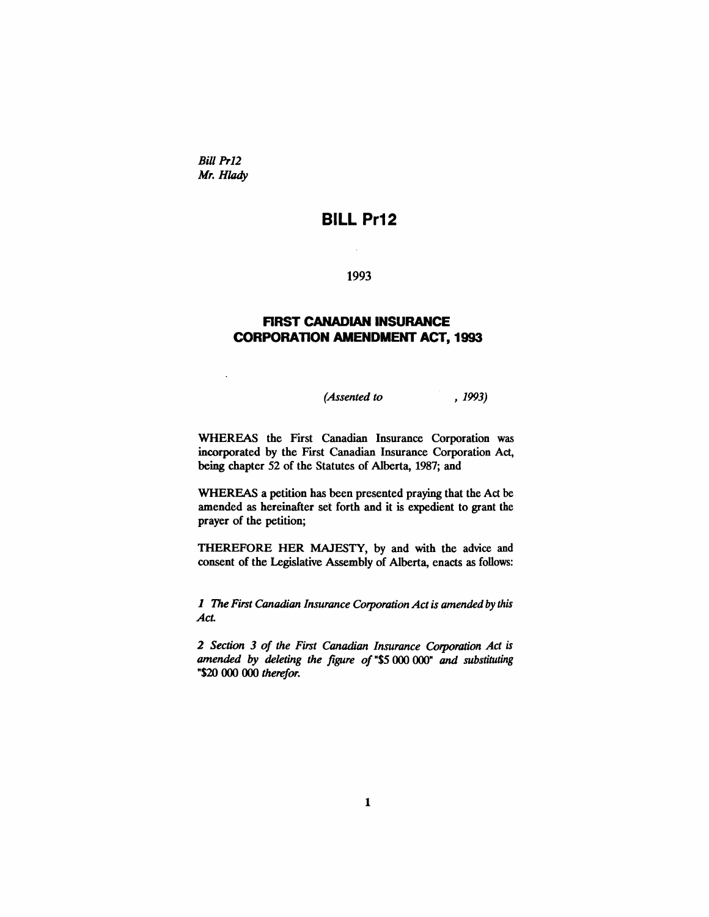*Bill Pr12* Mr. Hlady

 $\ddot{\phantom{0}}$ 

## **BILL Pr12**

1993

 $\bar{\mathcal{A}}$ 

## **FIRST CANADIAN INSURANCE CORPORATION AMENDMENT ACT, 1993**

*(Assented to* , 1993)

WHEREAS the First Canadian Insurance Corporation was incorporated by the First Canadian Insurance Corporation Act, being chapter 52 of the Statutes of Alberta, 1987; and

WHEREAS a petition has been presented praying that the Act be amended as hereinafter set forth and it is expedient to grant the prayer of the petition;

THEREFORE HER MAJESTY, by and with the advice and consent of the Legislative Assembly of Alberta, enacts as follows:

1 The *First Canadian Insurance Corporation Actis amended by this Act.*

*2 Section* 3 *of the First Canadian Insurance Corporation Act is amended by deleting the figure of* "\$5 000 000" *and substituting* "\$20 000 000 *therefor.*